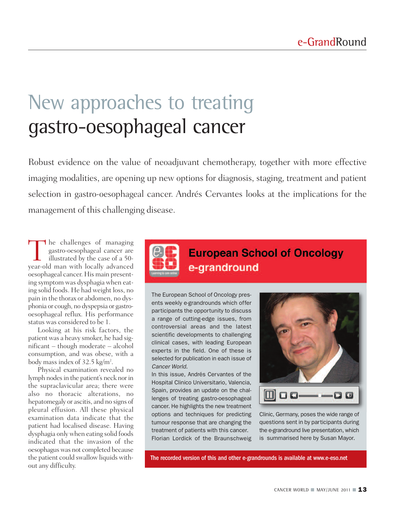# New approaches to treating gastro-oesophageal cancer

Robust evidence on the value of neoadjuvant chemotherapy, together with more effective imaging modalities, are opening up new options for diagnosis, staging, treatment and patient selection in gastro-oesophageal cancer. Andrés Cervantes looks at the implications for the management of this challenging disease.

The challenges of managing gastro-oesophageal cancer are illustrated by the case of a 50 year-old man with locally advanced oesophageal cancer. His main presenting symptom was dysphagia when eating solid foods. He had weight loss, no pain in the thorax or abdomen, no dysphonia or cough, no dyspepsia or gastrooesophageal reflux. His performance status was considered to be 1.

Looking at his risk factors, the patient was a heavy smoker, he had significant – though moderate – alcohol consumption, and was obese, with a body mass index of 32.5 kg/m².

Physical examination revealed no lymph nodes in the patient's neck nor in the supraclavicular area; there were also no thoracic alterations, no hepatomegaly or ascitis, and no signs of pleural effusion. All these physical examination data indicate that the patient had localised disease. Having dysphagia only when eating solid foods indicated that the invasion of the oesophagus was not completed because the patient could swallow liquids without any difficulty.



### **European School of Oncology** e-grandround

The European School of Oncology presents weekly e-grandrounds which offer participants the opportunity to discuss a range of cutting-edge issues, from controversial areas and the latest scientific developments to challenging clinical cases, with leading European experts in the field. One of these is selected for publication in each issue of *Cancer World*.

In this issue, Andrés Cervantes of the Hospital Clinico Universitario, Valencia, Spain, provides an update on the challenges of treating gastro-oesophageal cancer. He highlights the new treatment options and techniques for predicting tumour response that are changing the treatment of patients with this cancer. Florian Lordick of the Braunschweig



Clinic, Germany, poses the wide range of questions sent in by participants during the e-grandround live presentation, which is summarised here by Susan Mayor.

The recorded version of this and other e-grandrounds is available at www.e-eso.net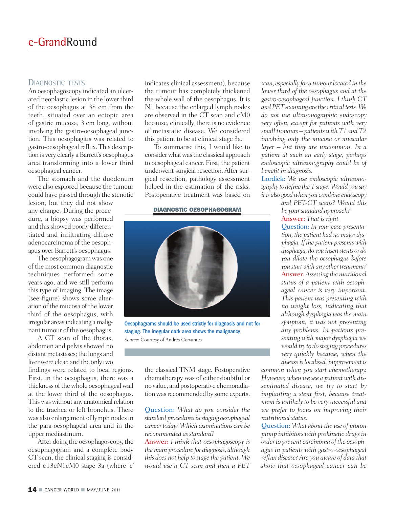#### DIAGNOSTIC TESTS

An oesophagoscopy indicated an ulcerated neoplastic lesion in the lower third of the oesophagus at 38 cm from the teeth, situated over an ectopic area of gastric mucosa, 3 cm long, without involving the gastro-oesophageal junction. This oesophagitis was related to gastro-oesophageal reflux. This description is very clearly a Barrett's oesophagus area transforming into a lower third oesophageal cancer.

The stomach and the duodenum were also explored because the tumour could have passed through the stenotic

lesion, but they did not show any change. During the procedure, a biopsy was performed and this showed poorly differentiated and infiltrating diffuse adenocarcinoma of the oesophagus over Barrett's oesophagus.

The oesophagogramwas one of the most common diagnostic techniques performed some years ago, and we still perform this type of imaging. The image (see figure) shows some alteration of the mucosa of the lower third of the oesophagus, with irregular areas indicating a malignant tumour of the oesophagus.

A CT scan of the thorax, abdomen and pelvis showed no distant metastases; the lungs and liver were clear, and the only two

findings were related to local regions. First, in the oesophagus, there was a thickness of the whole oesophageal wall at the lower third of the oesophagus. This was without any anatomical relation to the trachea or left bronchus. There was also enlargement of lymph nodesin the para-oesophageal area and in the upper mediastinum.

After doing the oesophagoscopy, the oesophagogram and a complete body CT scan, the clinical staging is considered cT3cN1cM0 stage 3a (where 'c'

indicates clinical assessment), because the tumour has completely thickened the whole wall of the oesophagus. It is N1 because the enlarged lymph nodes are observed in the CT scan and cM0 because, clinically, there is no evidence of metastatic disease. We considered this patient to be at clinical stage 3a.

To summarise this, I would like to consider what was the classical approach to oesophageal cancer. First, the patient underwent surgical resection.After surgical resection, pathology assessment helped in the estimation of the risks. Postoperative treatment was based on

#### **DIAGNOSTIC OESOPHAGOGRAM**



Oesophagrams should be used strictly for diagnosis and not for staging. The irregular dark area shows the malignancy *Source:* Courtesy of Andrés Cervantes

the classical TNM stage. Postoperative chemotherapy was of either doubtful or no value, and postoperative chemoradiation was recommended by some experts.

Question: *What do you consider the standard proceduresin staging oesophageal cancertoday?Which examinations can be recommended as standard?*

Answer: *I think that oesophagoscopy is themain procedure for diagnosis, although this does not help to stage the patient. We would use a CT scan and then a PET*

*scan, especiallyfor a tumourlocated in the lower third of the oesophagus and at the gastro-oesophageal junction. I think CT and* PET scanning are the critical tests. We *do not use ultrasonographic endoscopy very often, except for patients with very small tumours – patientswith T1 and T2 involving only the mucosa or muscular layer – but they are uncommon. In a patient at such an early stage, perhaps endoscopic ultrasonography could be of benefit in diagnosis.*

Lordick: *We use endoscopic ultrasonographyto define theTstage.Would you say itis also goodwhenyoucombine endoscopy*

*and PET-CT scans? Would this be your standard approach?* Answer: *That is right.*

Question: *In your case presentation,the patient had nomajor dysphagia.Ifthe patient presentswith*  $d$ *ysphagia,*  $d$ *o you insert stents or*  $d$ *o you dilate the oesophagus before you start with any other treatment?* Answer:*Assessing the nutritional status of a patient with oesophageal cancer is very important. This patient was presenting with no weight loss, indicating that although dysphagia was the main symptom, it was not presenting any problems. In patients presenting with major dysphagia we would tryto do staging procedures very quickly because, when the disease islocalised, improvementis*

*common when you start chemotherapy. However, when we see a patient with disseminated disease, we try to start by implanting a stent first, because treatment is unlikelyto be verysuccessful and we prefer to focus on improving their nutritional status.*

Question: *What about the use of proton pump inhibitors with prokinetic drugs in orderto prevent carcinoma of the oesophagus in patients with gastro-oesophageal reflux disease?Are you aware of data that show that oesophageal cancer can be*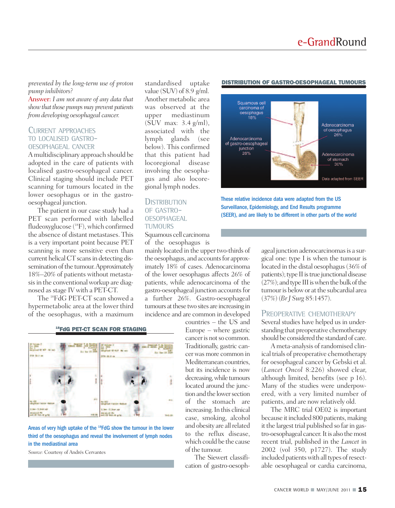*prevented by the long-term use of proton pump inhibitors?*

Answer: *I am not aware of any data that showthatthosepumpsmaypreventpatients from developing oesophageal cancer.*

#### CURRENT APPROACHES TO LOCALISED GASTRO- OESOPHAGEAL CANCER

A multidisciplinary approach should be adopted in the care of patients with localised gastro-oesophageal cancer. Clinical staging should include PET scanning for tumours located in the lower oesophagus or in the gastrooesophageal junction.

The patient in our case study had a PET scan performed with labelled fludeoxyglucose (18F), which confirmed the absence of distant metastases. This is a very important point because PET scanning is more sensitive even than current helical CT scans in detecting dissemination of the tumour. Approximately 18%–20% of patients without metastasis in the conventional workup are diagnosed asstage IV with a PET-CT.

The <sup>18</sup> FdG PET-CT scan showed a hypermetabolic area at the lower third of the oesophagus, with a maximum

| († Yojame 2<br>141 - 2066<br>141 - 4<br>141 givierd 141 - HTP<br>Seepoind 9 de Orther<br>traiti AUCOR, John Autorio<br>Al Al Seepo<br>The The 23 2009<br>FOX: GALID 1 |  | <b>BO Volume 2</b><br>D70V 08.0 cm |  | <b>Despited</b><br>10200000<br>w<br>Ext Der 28 2009 |  |
|-----------------------------------------------------------------------------------------------------------------------------------------------------------------------|--|------------------------------------|--|-----------------------------------------------------|--|
|                                                                                                                                                                       |  |                                    |  |                                                     |  |
|                                                                                                                                                                       |  |                                    |  |                                                     |  |

#### **18 FdG PET-CT SCAN FOR STAGING**

Areas of very high uptake of the <sup>18</sup>FdG show the tumour in the lower third of the oesophagus and reveal the involvement of lymph nodes in the mediastinal area

*Source:* Courtesy of Andrés Cervantes

standardised uptake value (SUV) of 8.9 g/ml. Another metabolic area was observed at the upper mediastinum (SUV max: 3.4 g/ml), associated with the lymph glands (see below). This confirmed that this patient had locoregional disease involving the oesophagus and also locoregional lymph nodes.

#### **DISTRIBUTION** OF GASTRO- **OESOPHAGEAL TUMOURS**

Squamous cell carcinoma of the oesophagus is

mainly located in the upper two-thirds of the oesophagus, and accounts for approximately 18% of cases. Adenocarcinoma of the lower oesophagus affects 26% of patients, while adenocarcinoma of the gastro-oesophageal junction accountsfor a further 26%. Gastro-oesophageal tumours at these two sites are increasing in incidence and are common in developed

> countries – the US and Europe – where gastric cancer is not so common. Traditionally, gastric cancerwas more common in Mediterranean countries, but its incidence is now decreasing,while tumours located around the junction and the lower section of the stomach are increasing. In this clinical case, smoking, alcohol and obesity are all related to the reflux disease, which could be the cause of the tumour.

The Siewert classification of gastro-oesoph-

#### **DISTRIBUTION OF GASTRO-OESOPHAGEAL TUMOURS**



These relative incidence data were adapted from the US Surveillance, Epidemiology, and End Results programme (SEER), and are likely to be different in other parts of the world

> ageal junction adenocarcinomas is a surgical one: type I is when the tumour is located in the distal oesophagus(36% of patients); type II is true junctional disease  $(27%)$ ; and type III is when the bulk of the tumour is below or at the subcardial area (37%) (*Br J Surg* 85:1457).

#### PREOPERATIVE CHEMOTHERAPY

Several studies have helped us in understanding that preoperative chemotherapy should be considered the standard of care.

A meta-analysis of randomised clinical trials of preoperative chemotherapy for oesophageal cancer by Gebski et al. (*Lancet Oncol* 8:226) showed clear, although limited, benefits (see p 16). Many of the studies were underpowered, with a very limited number of patients, and are now relatively old.

The MRC trial OE02 is important because it included 800 patients, making it the largest trial published so farin gastro-oesophageal cancer. It is also the most recent trial, published in the *Lancet* in 2002 (vol 350, p1727). The study included patients with all types of resectable oesophageal or cardia carcinoma,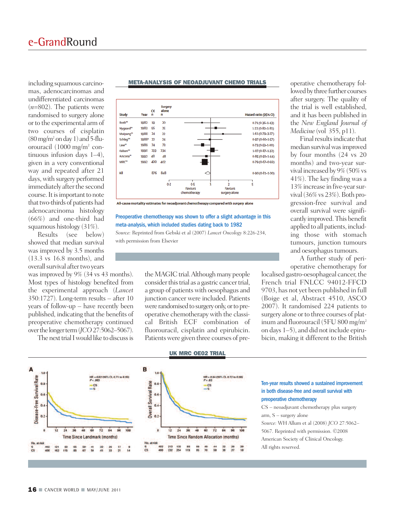including squamous carcinomas, adenocarcinomas and undifferentiated carcinomas (*n*=802). The patients were randomised to surgery alone or to the experimental arm of two courses of cisplatin  $(80 \text{ mg/m}^2 \text{ on day 1})$  and 5-fluorouracil  $(1000 \text{ mg/m}^2 \text{ con}$ tinuous infusion days 1–4), given in a very conventional way and repeated after 21 days, with surgery performed immediately after the second course. It is important to note that two-thirds of patients had adenocarcinoma histology (66%) and one-third had squamous histology (31%).

Results (see below) showed that median survival was improved by 3.5 months (13.3 vs 16.8 months), and overall survival after two years

was improved by 9% (34 vs 43 months). Most types of histology benefited from the experimental approach (*Lancet* 350:1727). Long-term results – after 10 years of follow-up – have recently been published, indicating that the benefits of preoperative chemotherapy continued over the longer term (*JCO* 27:5062–5067).

The next trial I would like to discuss is



#### **META-ANALYSIS OF NEOADJUVANT CHEMO TRIALS**

All-cause mortality estimates for neoadjuvant chemotherapy compared with surgery alone

#### Preoperative chemotherapy was shown to offer a slight advantage in this meta-analysis, which included studies dating back to 1982

*Source:* Reprinted from Gebski et al (2007) *Lancet Oncology* 8:226-234, with permission from Elsevier

> the MAGIC trial. Although many people consider this trial as a gastric cancer trial, a group of patientswith oesophagus and junction cancer were included. Patients were randomised to surgery only, or to preoperative chemotherapy with the classical British ECF combination of fluorouracil, cisplatin and epirubicin. Patients were given three courses of pre

operative chemotherapy followed by three further courses after surgery. The quality of the trial is well established, and it has been published in the *New England Journal of Medicine* (vol 355, p11).

Final results indicate that median survival was improved by four months (24 vs 20 months) and two-year survival increased by 9%(50%vs 41%). The key finding was a 13% increase in five-yearsurvival  $(36\% \text{ vs } 23\%)$ . Both progression-free survival and overall survival were significantly improved.This benefit applied to all patients, including those with stomach tumours, junction tumours and oesophagus tumours.

A further study of perioperative chemotherapy for

localised gastro-oesophageal cancer, the French trial FNLCC 94012-FFCD 9703, has not yet been published in full (Boige et al, Abstract 4510, ASCO 2007). It randomised 224 patients to surgery alone or to three courses of platinum and fluorouracil (5FU 800 mg/m2 on days 1–5), and did not include epirubicin, making it different to the British



#### **UK MRC OE02 TRIAL**

#### Ten-year results showed a sustained improvement in both disease-free and overall survival with preoperative chemotherapy

CS – neoadjuvant chemotherapy plus surgery arm, S – surgery alone

*Source:* WH Allum et al (2008) *JCO* 27:5062– 5067. Reprinted with permission. ©2008 American Society of Clinical Oncology. All rights reserved.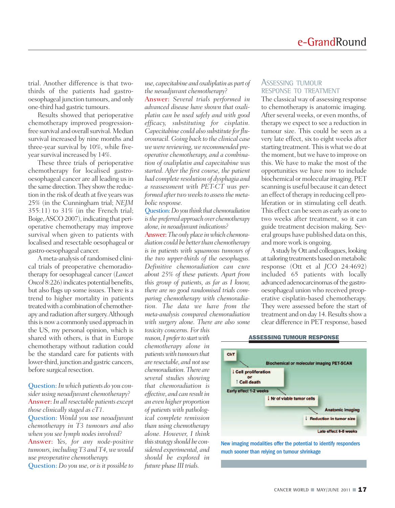trial. Another difference is that twothirds of the patients had gastrooesophageal junction tumours, and only one-third had gastric tumours.

Results showed that perioperative chemotherapy improved progressionfree survival and overall survival. Median survival increased by nine months and three-year survival by 10%, while fiveyear survival increased by 14%.

These three trials of perioperative chemotherapy for localised gastrooesophageal cancer are all leading us in the same direction.They showthe reduction in the risk of death at five years was 25% (in the Cunningham trial; *NEJM* 355:11) to 31% (in the French trial; Boige,ASCO2007), indicating that perioperative chemotherapy may improve survival when given to patients with localised and resectable oesophageal or gastro-oesophageal cancer.

A meta-analysis of randomised clinical trials of preoperative chemoradiotherapy for oesophageal cancer (*Lancet* Oncol 8:226) indicates potential benefits, but also flags up some issues. There is a trend to higher mortality in patients treated with a combination of chemotherapy and radiation after surgery. Although this is now a commonly used approach in the US, my personal opinion, which is shared with others, is that in Europe chemotherapy without radiation could be the standard care for patients with lower-third, junction and gastric cancers, before surgical resection.

#### Question: *Inwhich patients do you consider using neoadjuvant chemotherapy?* Answer: *In all resectable patients except those clinicallystaged as cT1.* Question: *Would you use neoadjuvant chemotherapy in T3 tumours and also when you see lymph nodes involved?* Answer: *Yes, for any node-positive*

*tumours, including T3 and T4,wewould use preoperative chemotherapy.* Question: *Do you use, or is it possible to*

*use, capecitabine and oxaliplatin as part of the neoadjuvant chemotherapy?*

Answer: *Several trials performed in advanced disease have shown that oxaliplatin can be used safely and with good efficacy, substituting for cisplatin. Capecitabine could also substitute forfluorouracil. Going back to the clinical case* we were reviewing, we recommended pre*operative chemotherapy, and a combination of oxaliplatin and capecitabine was started. After the first course, the patient had complete resolution of dysphagia and a reassessment with PET-CT was performed after two weeks to assess the metabolic response.*

Question:*Do youthink that chemoradiation isthe preferred approach over chemotherapy alone, in neoadjuvant indications?*

Answer: The only place in which chemora*diation could be betterthan chemotherapy is in patients with squamous tumours of the two upper-thirds of the oesophagus. Definitive chemoradiation can cure about 25% of these patients. Apart from this group of patients, as far as I know, there are no good randomised trials comparing chemotherapy with chemoradiation. The data we have from the meta-analysis compared chemoradiation with surgery alone. There are also some*

*toxicity concerns. For this reason,Ipreferto startwith chemotherapy alone in patientswith tumoursthat are resectable, and not use chemoradiation.There are several studies showing that chemoradiation is effective, and can resultin an even higher proportion of patients with pathological complete remission than using chemotherapy alone. However, I think thisstrategyshould be considered experimental, and should be explored in future phase III trials.*

#### ASSESSING TUMOUR RESPONSE TO TREATMENT

The classical way of assessing response to chemotherapy is anatomic imaging. After several weeks, or even months, of therapy we expect to see a reduction in tumour size. This could be seen as a very late effect, six to eight weeks after starting treatment. This is what we do at the moment, but we have to improve on this. We have to make the most of the opportunities we have now to include biochemical or molecular imaging. PET scanning is useful because it can detect an effect of therapy in reducing cell proliferation or in stimulating cell death. This effect can be seen as early as one to two weeks after treatment, so it can guide treatment decision making. Several groups have published data on this, and more work is ongoing.

A study by Ott and colleagues, looking at tailoring treatments based on metabolic response (Ott et al *JCO* 24:4692) included 65 patients with locally advanced adenocarcinomas of the gastrooesophageal union who received preoperative cisplatin-based chemotherapy. They were assessed before the start of treatment and on day 14. Results show a clear difference in PET response, based

#### **ASSESSING TUMOUR RESPONSE**



New imaging modalities offer the potential to identify responders much sooner than relying on tumour shrinkage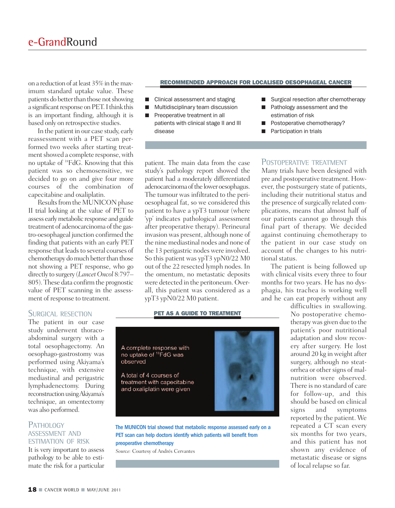on a reduction of atleast 35%in themaximum standard uptake value. These patients do better than those not showing a significant response on PET. I think this is an important finding, although it is based only on retrospective studies.

In the patient in our case study, early reassessment with a PET scan performed two weeks after starting treatment showed a complete response, with no uptake of <sup>18</sup> FdG. Knowing that this patient was so chemosensitive, we decided to go on and give four more courses of the combination of capecitabine and oxaliplatin.

Results from the MUNICON phase II trial looking at the value of PET to assess earlymetabolic response and guide treatment of adenocarcinoma of the gastro-oesophageal junction confirmed the finding that patients with an early PET response that leads to several courses of chemotherapy do much better than those not showing a PET response, who go directly to surgery (*LancetOncol* 8:797– 805). These data confirm the prognostic value of PET scanning in the assessment of response to treatment.

#### **RECOMMENDED APPROACH FOR LOCALISED OESOPHAGEAL CANCER**

- Clinical assessment and staging
- Multidisciplinary team discussion
- **■** Preoperative treatment in all patients with clinical stage II and III disease
- Surgical resection after chemotherapy
- Pathology assessment and the estimation of risk
- Postoperative chemotherapy?
- **■** Participation in trials

patient. The main data from the case study's pathology report showed the patient had a moderately differentiated adenocarcinoma of the lower oesophagus. The tumour was infiltrated to the perioesophageal fat, so we considered this patient to have a ypT3 tumour (where 'yp' indicates pathological assessment after preoperative therapy). Perineural invasion was present, although none of the nine mediastinal nodes and none of the 13 perigastric nodes were involved. So this patient was ypT3 ypN0/22 M0 out of the 22 resected lymph nodes. In the omentum, no metastatic deposits were detected in the peritoneum. Overall, this patient was considered as a ypT3 ypN0/22 M0 patient.

#### **PET AS A GUIDE TO TREATMENT**

SURGICAL RESECTION The patient in our case

study underwent thoracoabdominal surgery with a total oesophagectomy. An oesophago-gastrostomy was performed using Akiyama's technique, with extensive mediastinal and perigastric lymphadenectomy. During reconstruction using Akiyama's technique, an omentectomy was also performed.

#### PATHOLOGY ASSESSMENT AND ESTIMATION OF RISK

It is very important to assess pathology to be able to estimate the risk for a particular

A complete response with no uptake of <sup>18</sup>FdG was observed

A total of 4 courses of treatment with capecitabine and oxaliplatin were given

The MUNICON trial showed that metabolic response assessed early on a PET scan can help doctors identify which patients will benefit from preoperative chemotherapy

*Source:* Courtesy of Andrés Cervantes



### POSTOPERATIVE TREATMENT

Many trials have been designed with pre and postoperative treatment. However, the postsurgery state of patients, including their nutritional status and the presence of surgically related complications, means that almost half of our patients cannot go through this final part of therapy. We decided against continuing chemotherapy to the patient in our case study on account of the changes to his nutritional status.

The patient is being followed up with clinical visits every three to four months for two years. He has no dysphagia, his trachea is working well and he can eat properly without any

> difficulties in swallowing. No postoperative chemotherapy was given due to the patient's poor nutritional adaptation and slow recovery after surgery. He lost around 20 kg in weight after surgery, although no steatorrhea or other signs of malnutrition were observed. There is no standard of care for follow-up, and this should be based on clinical signs and symptoms reported by the patient. We repeated a CT scan every six months for two years, and this patient has not shown any evidence of metastatic disease or signs of local relapse so far.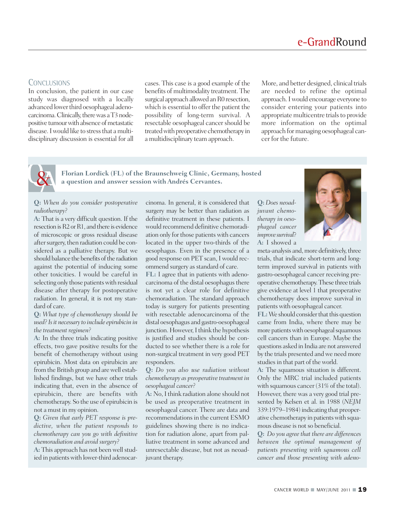#### **CONCLUSIONS**

In conclusion, the patient in our case study was diagnosed with a locally advanced lower third oesophageal adenocarcinoma. Clinically, there was a T3 nodepositive tumour with absence of metastatic disease.Iwould like to stressthat amultidisciplinary discussion is essential for all cases. This case is a good example of the benefits of multimodality treatment. The surgical approach allowed an R0 resection, which is essential to offer the patient the possibility of long-term survival. A resectable oesophageal cancer should be treated with preoperative chemotherapy in a multidisciplinary team approach.

More, and better designed, clinical trials are needed to refine the optimal approach.Iwould encourage everyone to consider entering your patients into appropriate multicentre trials to provide more information on the optimal approach formanaging oesophageal cancer for the future.



**Florian Lordick (FL) of the Braunschweig Clinic, Germany, hosted a question and answer session with Andrés Cervantes.**

#### **Q:** *When do you consider postoperative radiotherapy?*

**A:** That is a very difficult question. If the resection is R2 or R1, and there is evidence of microscopic or gross residual disease after surgery, then radiation could be considered as a palliative therapy. But we should balance the benefits of the radiation against the potential of inducing some other toxicities. I would be careful in selecting only those patients with residual disease after therapy for postoperative radiation. In general, it is not my standard of care.

**Q:** *What type of chemotherapy should be used?Isit necessaryto include epirubicin in the treatment regimen?*

**A:** In the three trials indicating positive effects, two gave positive results for the benefit of chemotherapy without using epirubicin. Most data on epirubicin are from the British group and are well established findings, but we have other trials indicating that, even in the absence of epirubicin, there are benefits with chemotherapy. So the use of epirubicin is not a must in my opinion.

**Q:** *Given that early PET response is predictive, when the patient responds to chemotherapy can you go with definitive chemoradiation and avoid surgery?*

A: This approach has not been well studied in patients with lower-third adenocarcinoma. In general, it is considered that surgery may be better than radiation as definitive treatment in these patients. I would recommend definitive chemoradiation only for those patients with cancers located in the upper two-thirds of the oesophagus. Even in the presence of a good response on PET scan, I would recommend surgery as standard of care.

**FL:** I agree that in patients with adenocarcinoma of the distal oesophagus there is not yet a clear role for definitive chemoradiation. The standard approach today is surgery for patients presenting with resectable adenocarcinoma of the distal oesophagus and gastro-oesophageal junction. However, I think the hypothesis is justified and studies should be conducted to see whether there is a role for non-surgical treatment in very good PET responders.

**Q:** *Do you also use radiation without chemotherapy as preoperative treatment in oesophageal cancer?*

A: No, I think radiation alone should not be used as preoperative treatment in oesophageal cancer. There are data and recommendations in the current ESMO guidelines showing there is no indication for radiation alone, apart from palliative treatment in some advanced and unresectable disease, but not as neoadjuvant therapy.

**Q:** *Does neoadjuvant chemotherapy in oesophageal cancer improve survival*? **A:** I showed a



meta-analysis and, more definitively, three trials, that indicate short-term and longterm improved survival in patients with gastro-oesophageal cancer receiving preoperative chemotherapy.These three trials give evidence at level 1 that preoperative chemotherapy does improve survival in patients with oesophageal cancer.

**FL:** We should consider that this question came from India, where there may be more patients with oesophageal squamous cell cancers than in Europe. Maybe the questions asked in India are not answered by the trials presented and we need more studies in that part of the world.

**A:** The squamous situation is different. Only the MRC trial included patients with squamous cancer (31% of the total). However, there was a very good trial presented by Kelsen et al. in 1988 (*NEJM* 339:1979–1984) indicating that preoperative chemotherapy in patients with squamous disease is not so beneficial.

**Q:** *Do you agree that there are differences between the optimal management of patients presenting with squamous cell cancer and those presenting with adeno-*